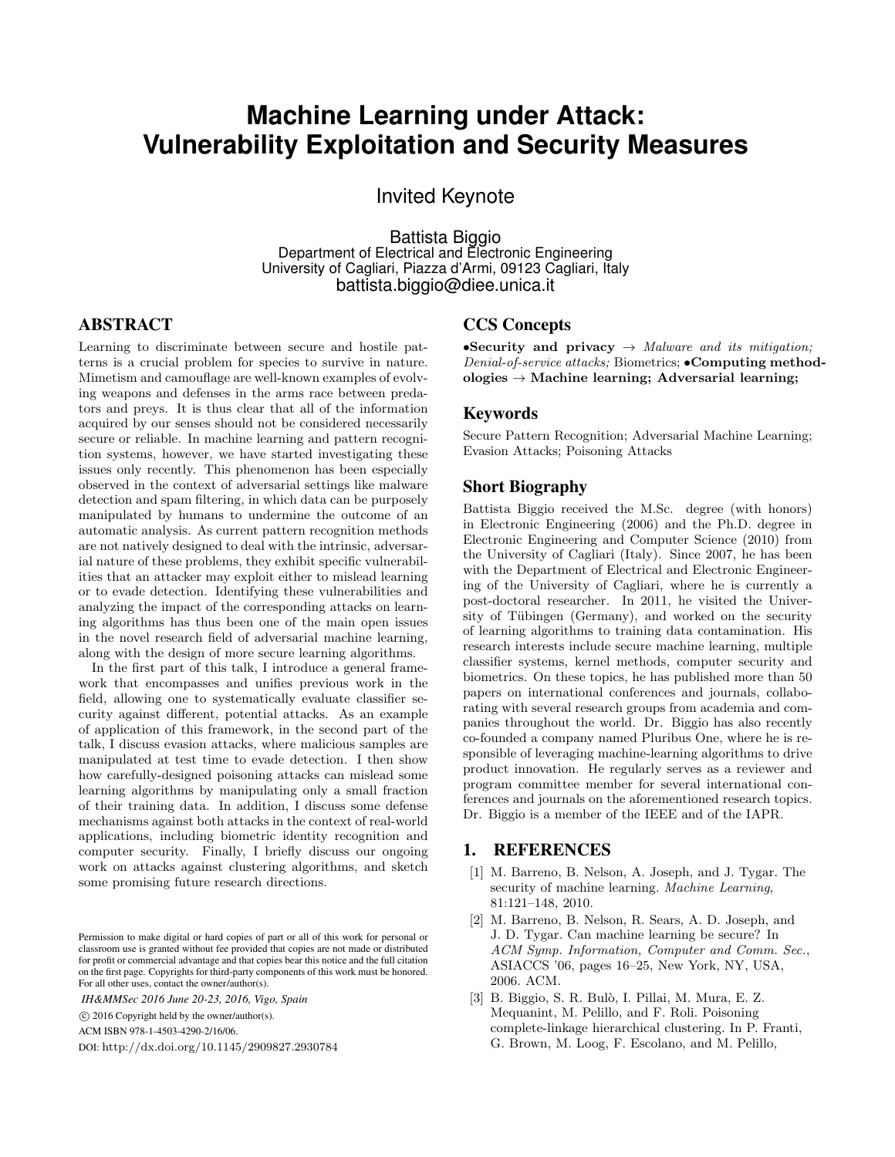# **Machine Learning under Attack: Vulnerability Exploitation and Security Measures**

Invited Keynote

Battista Biggio Department of Electrical and Electronic Engineering University of Cagliari, Piazza d'Armi, 09123 Cagliari, Italy battista.biggio@diee.unica.it

## ABSTRACT

Learning to discriminate between secure and hostile patterns is a crucial problem for species to survive in nature. Mimetism and camouflage are well-known examples of evolving weapons and defenses in the arms race between predators and preys. It is thus clear that all of the information acquired by our senses should not be considered necessarily secure or reliable. In machine learning and pattern recognition systems, however, we have started investigating these issues only recently. This phenomenon has been especially observed in the context of adversarial settings like malware detection and spam filtering, in which data can be purposely manipulated by humans to undermine the outcome of an automatic analysis. As current pattern recognition methods are not natively designed to deal with the intrinsic, adversarial nature of these problems, they exhibit specific vulnerabilities that an attacker may exploit either to mislead learning or to evade detection. Identifying these vulnerabilities and analyzing the impact of the corresponding attacks on learning algorithms has thus been one of the main open issues in the novel research field of adversarial machine learning, along with the design of more secure learning algorithms.

In the first part of this talk, I introduce a general framework that encompasses and unifies previous work in the field, allowing one to systematically evaluate classifier security against different, potential attacks. As an example of application of this framework, in the second part of the talk, I discuss evasion attacks, where malicious samples are manipulated at test time to evade detection. I then show how carefully-designed poisoning attacks can mislead some learning algorithms by manipulating only a small fraction of their training data. In addition, I discuss some defense mechanisms against both attacks in the context of real-world applications, including biometric identity recognition and computer security. Finally, I briefly discuss our ongoing work on attacks against clustering algorithms, and sketch some promising future research directions.

*IH&MMSec 2016 June 20-23, 2016, Vigo, Spain*

ACM ISBN 978-1-4503-4290-2/16/06.

DOI: http://dx.doi.org/10.1145/2909827.2930784

### CCS Concepts

•Security and privacy  $\rightarrow$  Malware and its mitigation; Denial-of-service attacks; Biometrics; •Computing methodologies  $\rightarrow$  Machine learning; Adversarial learning;

#### Keywords

Secure Pattern Recognition; Adversarial Machine Learning; Evasion Attacks; Poisoning Attacks

#### Short Biography

Battista Biggio received the M.Sc. degree (with honors) in Electronic Engineering (2006) and the Ph.D. degree in Electronic Engineering and Computer Science (2010) from the University of Cagliari (Italy). Since 2007, he has been with the Department of Electrical and Electronic Engineering of the University of Cagliari, where he is currently a post-doctoral researcher. In 2011, he visited the University of Tübingen (Germany), and worked on the security of learning algorithms to training data contamination. His research interests include secure machine learning, multiple classifier systems, kernel methods, computer security and biometrics. On these topics, he has published more than 50 papers on international conferences and journals, collaborating with several research groups from academia and companies throughout the world. Dr. Biggio has also recently co-founded a company named Pluribus One, where he is responsible of leveraging machine-learning algorithms to drive product innovation. He regularly serves as a reviewer and program committee member for several international conferences and journals on the aforementioned research topics. Dr. Biggio is a member of the IEEE and of the IAPR.

#### 1. REFERENCES

- [1] M. Barreno, B. Nelson, A. Joseph, and J. Tygar. The security of machine learning. Machine Learning, 81:121–148, 2010.
- [2] M. Barreno, B. Nelson, R. Sears, A. D. Joseph, and J. D. Tygar. Can machine learning be secure? In ACM Symp. Information, Computer and Comm. Sec., ASIACCS '06, pages 16–25, New York, NY, USA, 2006. ACM.
- [3] B. Biggio, S. R. Bulò, I. Pillai, M. Mura, E. Z. Mequanint, M. Pelillo, and F. Roli. Poisoning complete-linkage hierarchical clustering. In P. Franti, G. Brown, M. Loog, F. Escolano, and M. Pelillo,

Permission to make digital or hard copies of part or all of this work for personal or classroom use is granted without fee provided that copies are not made or distributed for profit or commercial advantage and that copies bear this notice and the full citation on the first page. Copyrights for third-party components of this work must be honored. For all other uses, contact the owner/author(s).

 $\odot$  2016 Copyright held by the owner/author(s).